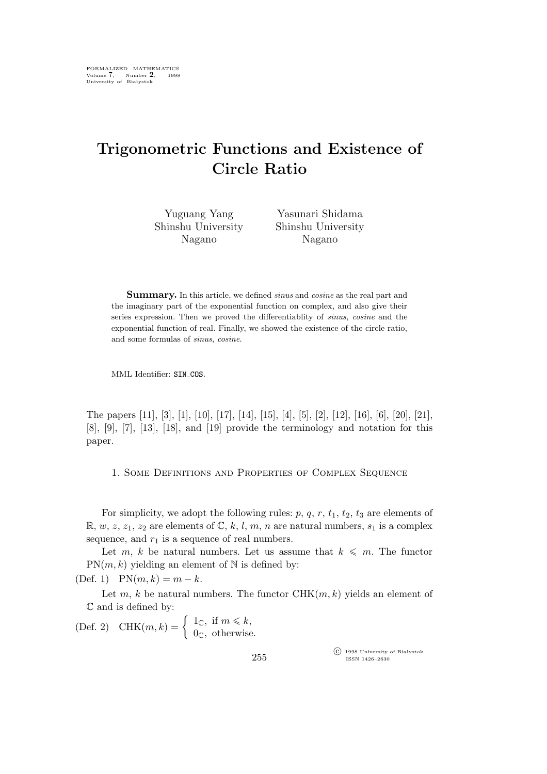## **Trigonometric Functions and Existence of Circle Ratio**

Yuguang Yang Shinshu University Nagano

Yasunari Shidama Shinshu University Nagano

**Summary.** In this article, we defined *sinus* and *cosine* as the real part and the imaginary part of the exponential function on complex, and also give their series expression. Then we proved the differentiablity of *sinus*, *cosine* and the exponential function of real. Finally, we showed the existence of the circle ratio, and some formulas of *sinus*, *cosine*.

MML Identifier: SIN\_COS.

The papers [11], [3], [1], [10], [17], [14], [15], [4], [5], [2], [12], [16], [6], [20], [21], [8], [9], [7], [13], [18], and [19] provide the terminology and notation for this paper.

1. Some Definitions and Properties of Complex Sequence

For simplicity, we adopt the following rules:  $p, q, r, t_1, t_2, t_3$  are elements of  $\mathbb{R}, w, z, z_1, z_2$  are elements of  $\mathbb{C}, k, l, m, n$  are natural numbers,  $s_1$  is a complex sequence, and  $r_1$  is a sequence of real numbers.

Let m, k be natural numbers. Let us assume that  $k \leq m$ . The functor  $PN(m, k)$  yielding an element of N is defined by:

(Def. 1)  $PN(m, k) = m - k$ .

Let m, k be natural numbers. The functor  $\mathrm{CHK}(m,k)$  yields an element of C and is defined by:

(Def. 2) CHK $(m, k) = \begin{cases} 1 \infty, & \text{if } m \leq k, \\ 0, & \text{otherwise} \end{cases}$  $0<sub>C</sub>$ , otherwise.

> °c 1998 University of Białystok ISSN 1426–2630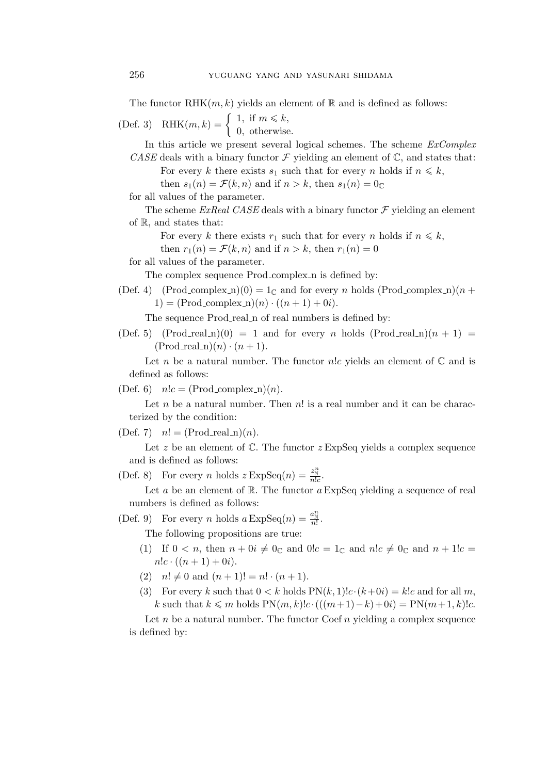The functor RHK $(m, k)$  yields an element of R and is defined as follows:

(Def. 3) RHK $(m, k) = \begin{cases} 1, & \text{if } m \leq k, \\ 0, & \text{otherwise} \end{cases}$ 0, otherwise.

In this article we present several logical schemes. The scheme *ExComplex CASE* deals with a binary functor  $\mathcal F$  yielding an element of  $\mathbb C$ , and states that:

For every k there exists  $s_1$  such that for every n holds if  $n \leq k$ ,

then  $s_1(n) = \mathcal{F}(k, n)$  and if  $n > k$ , then  $s_1(n) = 0$ 

for all values of the parameter.

The scheme *ExReal CASE* deals with a binary functor  $\mathcal F$  yielding an element of R, and states that:

For every k there exists  $r_1$  such that for every n holds if  $n \leq k$ ,

then  $r_1(n) = \mathcal{F}(k, n)$  and if  $n > k$ , then  $r_1(n) = 0$ 

for all values of the parameter.

The complex sequence Prod\_complex\_n is defined by:

(Def. 4) (Prod\_complex\_n)(0) =  $1_{\mathbb{C}}$  and for every n holds (Prod\_complex\_n)(n + 1) =  $(Proof: m)$   $(n) \cdot ((n + 1) + 0i)$ .

The sequence Prod\_real\_n of real numbers is defined by:

(Def. 5) (Prod\_real\_n)(0) = 1 and for every n holds (Prod\_real\_n)( $n + 1$ ) =  $(Prod\_real_n)(n) \cdot (n + 1).$ 

Let n be a natural number. The functor  $n!c$  yields an element of  $\mathbb C$  and is defined as follows:

(Def. 6)  $n!c = (Prod\_complex_n)(n)$ .

Let  $n$  be a natural number. Then  $n!$  is a real number and it can be characterized by the condition:

 $(Def. 7)$   $n! = (Prod\_real_n)(n).$ 

Let z be an element of  $\mathbb{C}$ . The functor  $z \to \text{ExpSeq}$  yields a complex sequence and is defined as follows:

(Def. 8) For every *n* holds  $z \operatorname{ExpSeq}(n) = \frac{z_{\text{N}}^n}{n!c}$ .

Let a be an element of  $\mathbb R$ . The functor a ExpSeq yielding a sequence of real numbers is defined as follows:

(Def. 9) For every *n* holds  $a \operatorname{ExpSeq}(n) = \frac{a_{\text{N}}^n}{n!}$ .

The following propositions are true:

- (1) If  $0 < n$ , then  $n + 0i \neq 0_{\mathbb{C}}$  and  $0!c = 1_{\mathbb{C}}$  and  $n!c \neq 0_{\mathbb{C}}$  and  $n + 1!c =$  $n!c \cdot ((n+1) + 0i).$
- (2)  $n! \neq 0$  and  $(n + 1)! = n! \cdot (n + 1)$ .
- (3) For every k such that  $0 < k$  holds  $PN(k, 1)!c \cdot (k+0i) = k!c$  and for all m, *k* such that  $k \le m$  holds  $PN(m, k)!c \cdot ((m+1)-k)+0i) = PN(m+1, k)!c$ .

Let n be a natural number. The functor  $\text{Coeff}_n$  vielding a complex sequence is defined by: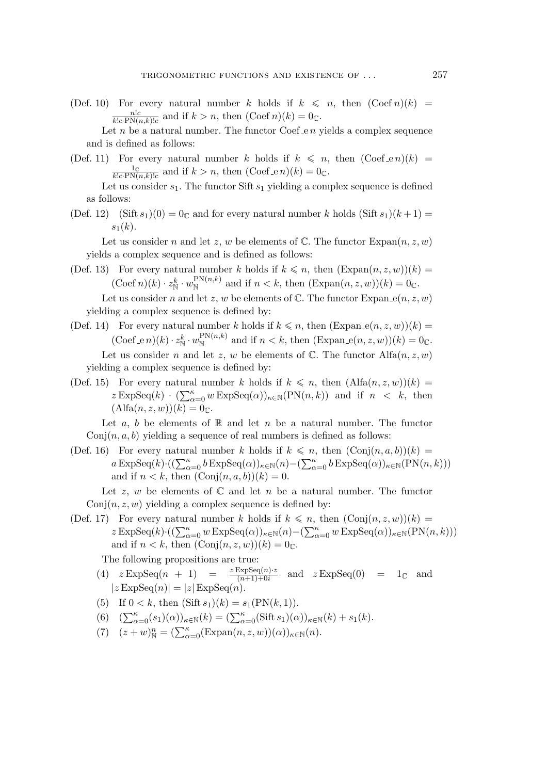(Def. 10) For every natural number k holds if  $k \leq n$ , then  $(\text{Coeff } n)(k)$  =  $\frac{n!c}{k!c\cdot\text{PN}(n,k)!c}$  and if  $k > n$ , then  $(\text{Coef } n)(k) = 0_{\mathbb{C}}$ .

Let n be a natural number. The functor  $\text{Coef}_en$  yields a complex sequence and is defined as follows:

(Def. 11) For every natural number k holds if  $k \leq n$ , then  $(\text{Coef\_e } n)(k)$  =  $\frac{1_{\mathbb{C}}}{k!c\cdot\text{PN}(n,k)!c}$  and if  $k > n$ , then  $(\text{Coef\_e } n)(k) = 0_{\mathbb{C}}$ .

Let us consider  $s_1$ . The functor Sift  $s_1$  yielding a complex sequence is defined as follows:

(Def. 12) (Sift  $s_1(0) = 0$  and for every natural number k holds (Sift  $s_1(k+1) =$  $s_1(k)$ .

Let us consider n and let z, w be elements of  $\mathbb{C}$ . The functor  $\text{Expan}(n, z, w)$ yields a complex sequence and is defined as follows:

- (Def. 13) For every natural number k holds if  $k \leq n$ , then  $(\text{Expan}(n, z, w))(k) =$  $(\text{Coeff } n)(k) \cdot z_N^k \cdot w_N^{\text{PN}(n,k)}$  and if  $n < k$ , then  $(\text{Expan}(n, z, w))(k) = 0_{\mathbb{C}}$ . Let us consider n and let z, w be elements of  $\mathbb C$ . The functor Expan<sub>-e</sub> $(n, z, w)$ yielding a complex sequence is defined by:
- (Def. 14) For every natural number k holds if  $k \leq n$ , then  $(\text{Expan}_e(n, z, w))(k) =$  $(\text{Coef\_e } n)(k) \cdot z_N^k \cdot w_N^{\text{PN}(n,k)}$  and if  $n < k$ , then  $(\text{Expan\_e}(n, z, w))(k) = 0_{\mathbb{C}}$ . Let us consider n and let z, w be elements of  $\mathbb{C}$ . The functor Alfa $(n, z, w)$ yielding a complex sequence is defined by:
- (Def. 15) For every natural number k holds if  $k \leq n$ , then  $(Alfa(n,z,w))(k) =$  $z \operatorname{ExpSeq}(k) \cdot (\sum_{\alpha=0}^{\kappa} w \operatorname{ExpSeq}(\alpha))_{\kappa \in \mathbb{N}}(\operatorname{PN}(n,k))$  and if  $n < k$ , then  $(Alfa(n, z, w))(k) = 0<sub>\mathbb{C}</sub>$ .

Let a, b be elements of R and let n be a natural number. The functor  $Conj(n, a, b)$  yielding a sequence of real numbers is defined as follows:

(Def. 16) For every natural number k holds if  $k \leq n$ , then  $(\text{Conj}(n, a, b))(k) =$  $a\,\mathrm{ExpSeq}(k)\cdot((\sum_{\alpha=0}^{\kappa}b\,\mathrm{ExpSeq}(\alpha))_{\kappa\in\mathbb{N}}(n)-(\sum_{\alpha=0}^{\kappa}b\,\mathrm{ExpSeq}(\alpha))_{\kappa\in\mathbb{N}}(\mathrm{PN}(n,k)))$ and if  $n < k$ , then  $(Conj(n, a, b))(k) = 0$ .

Let z, w be elements of  $\mathbb C$  and let n be a natural number. The functor  $Conj(n, z, w)$  yielding a complex sequence is defined by:

(Def. 17) For every natural number k holds if  $k \leq n$ , then  $(\text{Conj}(n, z, w))(k)$  $z \operatorname{ExpSeq}(k) \cdot ((\sum_{\alpha=0}^{\kappa} w \operatorname{ExpSeq}(\alpha))_{\kappa \in \mathbb{N}}(n) - (\sum_{\alpha=0}^{\kappa} w \operatorname{ExpSeq}(\alpha))_{\kappa \in \mathbb{N}}(\operatorname{PN}(n,k)))$ and if  $n < k$ , then  $(Conj(n, z, w))(k) = 0<sub>C</sub>$ .

The following propositions are true:

- (4)  $z \operatorname{ExpSeq}(n + 1) = \frac{z \operatorname{ExpSeq}(n) \cdot z}{(n+1)+0i}$  and  $z \operatorname{ExpSeq}(0) = 1_{\mathbb{C}}$  and  $|z\operatorname{ExpSeq}(n)|=|z|\operatorname{ExpSeq}(n).$
- (5) If  $0 < k$ , then  $(Sift s_1)(k) = s_1(PN(k, 1)).$
- (6)  $(\sum_{\alpha=0}^{\kappa} (s_1)(\alpha))_{\kappa \in \mathbb{N}}(k) = (\sum_{\alpha=0}^{\kappa} (\text{Sift } s_1)(\alpha))_{\kappa \in \mathbb{N}}(k) + s_1(k).$
- (7)  $(z+w)_\mathbb{N}^n = (\sum_{\alpha=0}^\kappa (\text{Expan}(n,z,w))(\alpha))_{\kappa \in \mathbb{N}}(n).$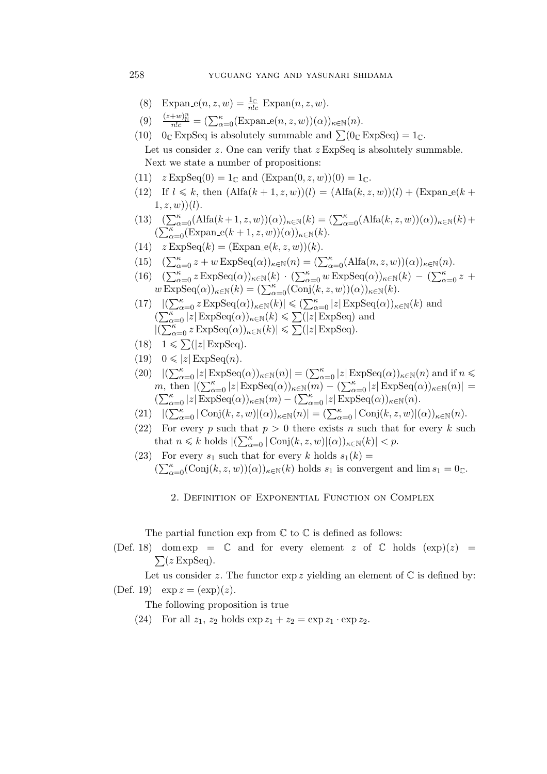- (8) Expan<sub>-e</sub> $(n, z, w) = \frac{1}{n!c}$  Expan $(n, z, w)$ .
- (9)  $\frac{(z+w)_\mathbb{N}^n}{n!c} = (\sum_{\alpha=0}^\kappa (\text{Expan}_e(n,z,w))(\alpha))_{\kappa \in \mathbb{N}}(n).$

(10)  $0_{\mathbb{C}}$  ExpSeq is absolutely summable and  $\sum (0_{\mathbb{C}}$  ExpSeq) =  $1_{\mathbb{C}}$ . Let us consider  $z$ . One can verify that  $z \to \infty$ Seq is absolutely summable. Next we state a number of propositions:

- (11)  $z \text{ExpSeq}(0) = 1_C$  and  $(\text{Expan}(0, z, w))(0) = 1_C$ .
- (12) If  $l \le k$ , then  $(Alfa(k + 1, z, w))(l) = (Alfa(k, z, w))(l) + (Expan_e(k + 1, z, w))(l)$  $(1, z, w)(l)$ .
- (13)  $(\sum_{\alpha=0}^{\kappa} (A \text{lfa}(k+1, z, w))(\alpha))_{\kappa \in \mathbb{N}}(k) = (\sum_{\alpha=0}^{\kappa} (A \text{lfa}(k, z, w))(\alpha))_{\kappa \in \mathbb{N}}(k) +$  $(\sum_{\alpha=0}^{\kappa}$ (Expan<sub>-</sub>e(k + 1, z, w))( $\alpha$ ))<sub> $\kappa \in \mathbb{N}$ </sub>(k).
- (14)  $z \operatorname{ExpSeq}(k) = (\operatorname{Expan}\nolimits_e(k, z, w))(k).$
- (15)  $(\sum_{\alpha=0}^{\kappa} z + w \operatorname{ExpSeq}(\alpha))_{\kappa \in \mathbb{N}}(n) = (\sum_{\alpha=0}^{\kappa} (\text{Alfa}(n, z, w))(\alpha))_{\kappa \in \mathbb{N}}(n).$
- (16)  $(\sum_{\alpha=0}^{\kappa} z \operatorname{ExpSeq}(\alpha))_{\kappa \in \mathbb{N}}(k) \cdot (\sum_{\alpha=0}^{\kappa} w \operatorname{ExpSeq}(\alpha))_{\kappa \in \mathbb{N}}(k) (\sum_{\alpha=0}^{\kappa} z +$  $w \, \overline{\mathrm{ExpSeq}}(\alpha))_{\kappa \in \mathbb{N}}(k) = (\sum_{\alpha=0}^{\kappa} (\mathrm{Conj}(k, z, w))(\alpha))_{\kappa \in \mathbb{N}}(k).$
- $(17)$   $|(\sum_{\alpha=0}^{\kappa} z \operatorname{ExpSeq}(\alpha))_{\kappa \in \mathbb{N}}(k)| \leq (\sum_{\alpha=0}^{\kappa} |z| \operatorname{ExpSeq}(\alpha))_{\kappa \in \mathbb{N}}(k)$  and  $(\sum_{\alpha=0}^{\kappa} |z| \operatorname{ExpSeq}(\alpha))_{\kappa \in \mathbb{N}}(k) \leq \sum (|z| \operatorname{ExpSeq})$  and  $|(\sum_{\alpha=0}^{\kappa} z \operatorname{ExpSeq}(\alpha))_{\kappa \in \mathbb{N}}(k)| \leq \sum (|z| \operatorname{ExpSeq}).$
- $(18)$   $1 \leqslant \sum (|z| \operatorname{ExpSeq}).$
- $(19)$   $0 \leqslant |z|$ **ExpSeq** $(n)$ .
- $(20)$   $|(\sum_{\alpha=0}^{\kappa} |z| \operatorname{ExpSeq}(\alpha))_{\kappa \in \mathbb{N}}(n)| = (\sum_{\alpha=0}^{\kappa} |z| \operatorname{ExpSeq}(\alpha))_{\kappa \in \mathbb{N}}(n)$  and if  $n \leq$ m, then  $|(\sum_{\alpha=0}^{\kappa} |z| \operatorname{ExpSeq}(\alpha))_{\kappa \in \mathbb{N}}(m) - (\sum_{\alpha=0}^{\kappa} |z| \operatorname{ExpSeq}(\alpha))_{\kappa \in \mathbb{N}}(n)| =$  $(\sum_{\alpha=0}^{\kappa} |z| \operatorname{ExpSeq}(\alpha))_{\kappa \in \mathbb{N}}(m) - (\sum_{\alpha=0}^{\kappa} |z| \operatorname{ExpSeq}(\alpha))_{\kappa \in \mathbb{N}}(n).$
- $(21)$   $|(\sum_{\alpha=0}^{\kappa} |\text{Conj}(k, z, w)|(\alpha))_{\kappa \in \mathbb{N}}(n)| = (\sum_{\alpha=0}^{\kappa} |\text{Conj}(k, z, w)|(\alpha))_{\kappa \in \mathbb{N}}(n).$
- (22) For every p such that  $p > 0$  there exists n such that for every k such that  $n \leq k$  holds  $|(\sum_{\alpha=0}^{\kappa} |\text{Conj}(k, z, w)|(\alpha))_{\kappa \in \mathbb{N}}(k)| < p$ .
- (23) For every  $s_1$  such that for every k holds  $s_1(k) =$  $(\sum_{\alpha=0}^{\kappa}(\text{Conj}(k,z,w))(\alpha))_{\kappa\in\mathbb{N}}(k)$  holds  $s_1$  is convergent and  $\lim s_1=0_{\mathbb{C}}$ .
	- 2. Definition of Exponential Function on Complex

The partial function  $\exp$  from  $\mathbb C$  to  $\mathbb C$  is defined as follows:

(Def. 18) dom exp =  $\mathbb C$  and for every element z of  $\mathbb C$  holds  $(\exp)(z)$  =  $\sum (z \operatorname{ExpSeq}).$ 

Let us consider z. The functor  $\exp z$  yielding an element of  $\mathbb C$  is defined by: (Def. 19)  $\exp z = (\exp)(z)$ .

The following proposition is true

(24) For all  $z_1$ ,  $z_2$  holds  $\exp z_1 + z_2 = \exp z_1 \cdot \exp z_2$ .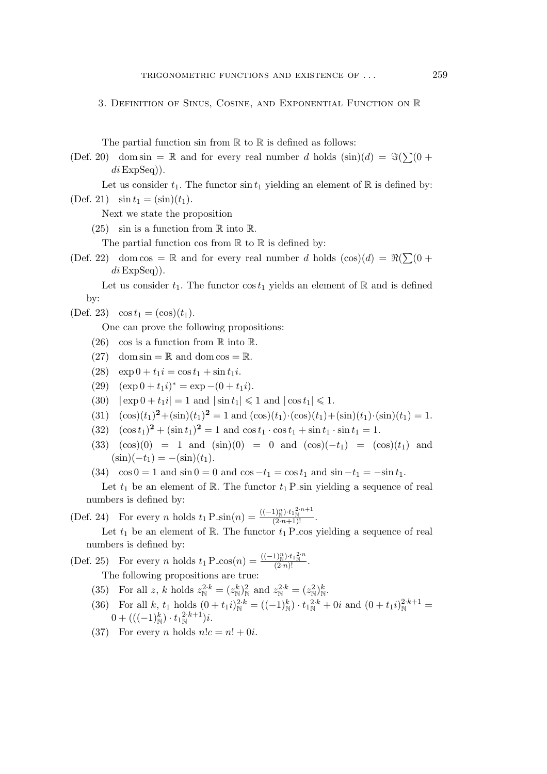## 3. Definition of Sinus, Cosine, and Exponential Function on R

The partial function sin from  $\mathbb R$  to  $\mathbb R$  is defined as follows:

- (Def. 20) dom sin = R and for every real number d holds  $(\sin)(d) = \Im(\sum(0 +$  $di$ ExpSeq)).
- Let us consider  $t_1$ . The functor  $\sin t_1$  yielding an element of  $\mathbb R$  is defined by: (Def. 21)  $\sin t_1 = (\sin)(t_1)$ .
	- Next we state the proposition
	- (25) sin is a function from  $\mathbb R$  into  $\mathbb R$ .

The partial function cos from  $\mathbb R$  to  $\mathbb R$  is defined by:

(Def. 22) dom cos = R and for every real number d holds  $(cos)(d) = \Re(\sum(0 +$  $di$ ExpSeq)).

Let us consider  $t_1$ . The functor cos  $t_1$  yields an element of R and is defined by:

$$
(\text{Def. 23}) \quad \cos t_1 = (\cos)(t_1).
$$

One can prove the following propositions:

- (26) cos is a function from  $\mathbb R$  into  $\mathbb R$ .
- (27) dom sin =  $\mathbb R$  and dom cos =  $\mathbb R$ .
- (28)  $\exp 0 + t_1 i = \cos t_1 + \sin t_1 i$ .
- (29)  $(\exp 0 + t_1 i)^* = \exp -(0 + t_1 i).$
- $(30)$   $|\exp 0 + t_1i| = 1$  and  $|\sin t_1| \leq 1$  and  $|\cos t_1| \leq 1$ .
- (31)  $(\cos)(t_1)^2 + (\sin)(t_1)^2 = 1$  and  $(\cos)(t_1) \cdot (\cos)(t_1) + (\sin)(t_1) \cdot (\sin)(t_1) = 1$ .
- $(32)$   $(\cos t_1)^2 + (\sin t_1)^2 = 1$  and  $\cos t_1 \cdot \cos t_1 + \sin t_1 \cdot \sin t_1 = 1$ .
- (33)  $(cos)(0) = 1$  and  $(sin)(0) = 0$  and  $(cos)(-t_1) = (cos)(t_1)$  and  $(\sin)(-t_1) = -(\sin)(t_1).$
- (34)  $\cos 0 = 1$  and  $\sin 0 = 0$  and  $\cos -t_1 = \cos t_1$  and  $\sin -t_1 = -\sin t_1$ .

Let  $t_1$  be an element of R. The functor  $t_1$  P sin yielding a sequence of real numbers is defined by:

(Def. 24) For every *n* holds  $t_1 P \sin(n) = \frac{((-1)^n) \cdot t_1 \cdot t_1 \cdot N}{(2 \cdot n+1)!}$ .

Let  $t_1$  be an element of R. The functor  $t_1$  P cos yielding a sequence of real numbers is defined by:

(Def. 25) For every *n* holds  $t_1 P_{\text{COS}}(n) = \frac{((-1)^n)^t t_1^2 n}{(2 \cdot n)!}$ .

The following propositions are true:

- (35) For all z, k holds  $z_N^{2 \cdot k} = (z_N^k)_N^2$  and  $z_N^{2 \cdot k} = (z_N^2)_N^k$ .
- (36) For all k,  $t_1$  holds  $(0 + t_1 i)_\mathbb{N}^{2 \cdot k} = ((-1)_\mathbb{N}^k) \cdot t_1^2 x + 0i$  and  $(0 + t_1 i)_\mathbb{N}^{2 \cdot k+1} =$  $0 + (((-1)^k_{\mathbb{N}}) \cdot t_1^{2 \cdot k+1}_{\mathbb{N}})i.$
- (37) For every *n* holds  $n!c = n! + 0i$ .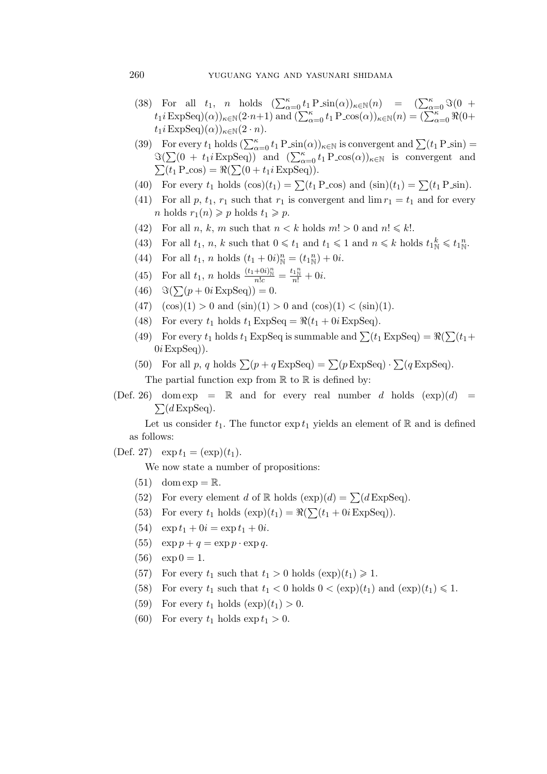- (38) For all  $t_1$ , *n* holds  $(\sum_{\alpha=0}^{\kappa} t_1 P \sin(\alpha))_{\kappa \in \mathbb{N}} (n) = (\sum_{\alpha=0}^{\kappa} \Im(0 +$  $t_1 i$  ExpSeq) $(\alpha)$ <sub> $\kappa \in \mathbb{N}(2 \cdot n+1)$  and  $(\sum_{\alpha=0}^{\kappa} t_1 P_{\alpha} \cos(\alpha))_{\kappa \in \mathbb{N}}(n) = (\sum_{\alpha=0}^{\kappa} \Re(0+\alpha))_{\alpha \in \mathbb{N}}$ </sub>  $t_1$ *i* ExpSeq)( $\alpha$ ))<sub> $\kappa \in \mathbb{N}$ (2 · *n*).</sub>
- (39) For every  $t_1$  holds  $(\sum_{\alpha=0}^{\kappa} t_1 P \sin(\alpha))_{\kappa \in \mathbb{N}}$  is convergent and  $\sum (t_1 P \sin(\alpha))$  $\Im(\sum (0 + t_1 i \operatorname{ExpSeq}))$  and  $(\sum_{\alpha=0}^{\kappa} t_1 \operatorname{P} - \cos(\alpha))_{\kappa \in \mathbb{N}}$  is convergent and  $\sum(t_1 \text{ P}_\text{-} \cos) = \Re(\sum(0 + t_1 i \text{ ExpSeq})).$
- (40) For every  $t_1$  holds  $(\cos)(t_1) = \sum (t_1 \text{ P}_\text{\text{COS}})$  and  $(\sin)(t_1) = \sum (t_1 \text{ P}_\text{\text{Sin}})$ .
- (41) For all p,  $t_1$ ,  $r_1$  such that  $r_1$  is convergent and  $\lim r_1 = t_1$  and for every *n* holds  $r_1(n) \geqslant p$  holds  $t_1 \geqslant p$ .
- (42) For all *n*, *k*, *m* such that  $n < k$  holds  $m! > 0$  and  $n! \leq k!$ .
- (43) For all  $t_1, n, k$  such that  $0 \leq t_1$  and  $t_1 \leq 1$  and  $n \leq k$  holds  $t_1^k \leq t_1^m$ .
- (44) For all  $t_1$ , *n* holds  $(t_1 + 0i)_{\mathbb{N}}^n = (t_1_{\mathbb{N}}^n) + 0i$ .
- (45) For all  $t_1$ , *n* holds  $\frac{(t_1+0i)_\mathbb{N}}{n!c} = \frac{t_1\mathbb{N}}{n!} + 0i$ .
- $(46)$   $\Im(\sum (p + 0i \operatorname{ExpSeq})) = 0.$
- $(47)$   $(\cos)(1) > 0$  and  $(\sin)(1) > 0$  and  $(\cos)(1) < (\sin)(1)$ .
- (48) For every  $t_1$  holds  $t_1$  ExpSeq =  $\Re(t_1 + 0i \text{ExpSeq})$ .
- (49) For every  $t_1$  holds  $t_1$  ExpSeq is summable and  $\sum (t_1 \text{ExpSeq}) = \Re(\sum (t_1 +$  $0i$  ExpSeq)).
- (50) For all p, q holds  $\sum (p + q \text{ExpSeq}) = \sum (p \text{ExpSeq}) \cdot \sum (q \text{ExpSeq}).$ The partial function  $\exp$  from  $\mathbb R$  to  $\mathbb R$  is defined by:
- (Def. 26) dom exp =  $\mathbb R$  and for every real number d holds  $(\exp)(d) = \sum (d \text{ExpSeq})$ .  $\sum (d \text{ExpSeq}).$

Let us consider  $t_1$ . The functor  $\exp t_1$  yields an element of R and is defined as follows:

(Def. 27)  $\exp t_1 = (\exp)(t_1)$ .

We now state a number of propositions:

- $(51)$  dom  $exp = \mathbb{R}$ .
- (52) For every element d of R holds  $(\exp)(d) = \sum (d \operatorname{ExpSeq})$ .
- (53) For every  $t_1$  holds  $(\exp)(t_1) = \Re(\sum(t_1 + 0i \operatorname{ExpSeq})).$
- (54)  $\exp t_1 + 0i = \exp t_1 + 0i.$
- (55)  $\exp p + q = \exp p \cdot \exp q$ .
- $(56) \quad \exp 0 = 1.$
- (57) For every  $t_1$  such that  $t_1 > 0$  holds  $(\exp)(t_1) \geq 1$ .
- (58) For every  $t_1$  such that  $t_1 < 0$  holds  $0 < (exp)(t_1)$  and  $(exp)(t_1) \leq 1$ .
- (59) For every  $t_1$  holds  $(\exp)(t_1) > 0$ .
- (60) For every  $t_1$  holds  $\exp t_1 > 0$ .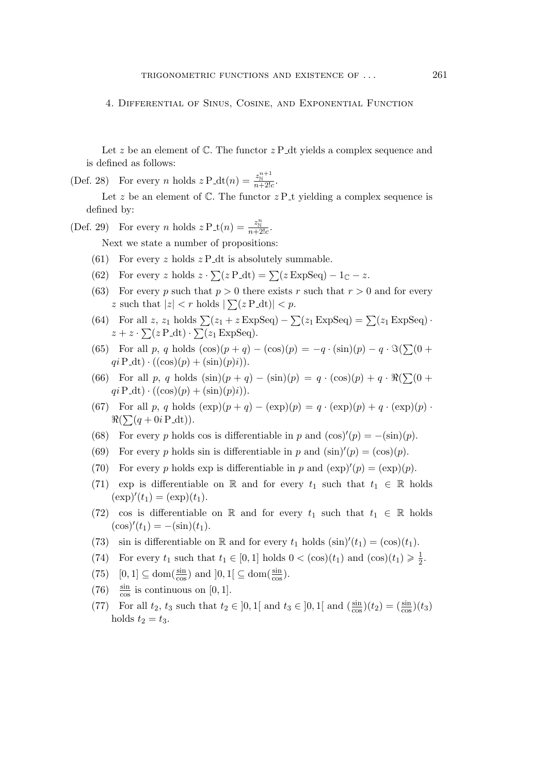4. Differential of Sinus, Cosine, and Exponential Function

Let z be an element of  $\mathbb C$ . The functor  $z \cdot P$  dt yields a complex sequence and is defined as follows:

(Def. 28) For every *n* holds  $z \mathbf{P}_{\text{-}}dt(n) = \frac{z_{\mathbb{N}}^{n+1}}{n+2!c}$ .

Let z be an element of  $\mathbb C$ . The functor  $z \cdot P_t$  yielding a complex sequence is defined by:

(Def. 29) For every *n* holds  $z \mathrm{P}_\text{-} \mathrm{t}(n) = \frac{z_\mathrm{N}^n}{n+2!c}$ .

Next we state a number of propositions:

- (61) For every z holds  $z \text{ P}_-dt$  is absolutely summable.
- (62) For every z holds  $z \cdot \sum (z \cdot P_t dt) = \sum (z \cdot ExpSeq) 1_C z$ .
- (63) For every p such that  $p > 0$  there exists r such that  $r > 0$  and for every z such that  $|z| < r$  holds  $|\sum (z \, P \, dt)| < p$ .
- (64) For all z, z<sub>1</sub> holds  $\sum (z_1 + z \operatorname{ExpSeq}) \sum (z_1 \operatorname{ExpSeq}) = \sum (z_1 \operatorname{ExpSeq}) \cdot$  $z + z \cdot \sum (z \, P \, dt) \cdot \sum (z_1 \, \text{ExpSeq}).$
- (65) For all p, q holds  $(\cos)(p+q) (\cos)(p) = -q \cdot (\sin)(p) q \cdot \Im(\sum(0 +$  $qi \, P \, dt) \cdot ((\cos)(p) + (\sin)(p)i).$
- (66) For all p, q holds  $(\sin)(p + q) (\sin)(p) = q \cdot (\cos)(p) + q \cdot \Re(\sum(0 +$  $qi \, P \, dt) \cdot ((\cos)(p) + (\sin)(p)i).$
- (67) For all p, q holds  $(\exp)(p + q) (\exp)(p) = q \cdot (\exp)(p) + q \cdot (\exp)(p)$  $\Re(\sum(q + 0i \mathrm{P}_{\mathcal{A}}\mathrm{dt})).$
- (68) For every p holds cos is differentiable in p and  $(\cos)'(p) = -(\sin)(p)$ .
- (69) For every p holds sin is differentiable in p and  $(\sin)'(p) = (\cos)(p)$ .
- (70) For every p holds exp is differentiable in p and  $(\exp)'(p) = (\exp)(p)$ .
- (71) exp is differentiable on R and for every  $t_1$  such that  $t_1 \in \mathbb{R}$  holds  $(\exp)'(t_1) = (\exp)(t_1).$
- (72) cos is differentiable on R and for every  $t_1$  such that  $t_1 \in \mathbb{R}$  holds  $(cos)'(t_1) = - (sin)(t_1).$
- (73) sin is differentiable on R and for every  $t_1$  holds  $(\sin)'(t_1) = (\cos)(t_1)$ .
- (74) For every  $t_1$  such that  $t_1 \in [0,1]$  holds  $0 < (\cos)(t_1)$  and  $(\cos)(t_1) \geq \frac{1}{2}$  $rac{1}{2}$ .
- $(75)$   $[0, 1] \subseteq \text{dom}(\frac{\sin}{\cos \theta})$  $\frac{\sin}{\cos}$ ) and  $]0,1[ \subseteq \text{dom}(\frac{\sin}{\cos}$  $\frac{\sin}{\cos}$ ).
- (76)  $\frac{\sin}{\cos}$  is continuous on [0, 1].
- (77) For all  $t_2$ ,  $t_3$  such that  $t_2 \in ]0,1[$  and  $t_3 \in ]0,1[$  and  $(\frac{\sin \theta}{\cos \theta})$  $\frac{\sin}{\cos}$  $(t_2) = \frac{\sin}{\cos}$  $(t_3)$ holds  $t_2 = t_3$ .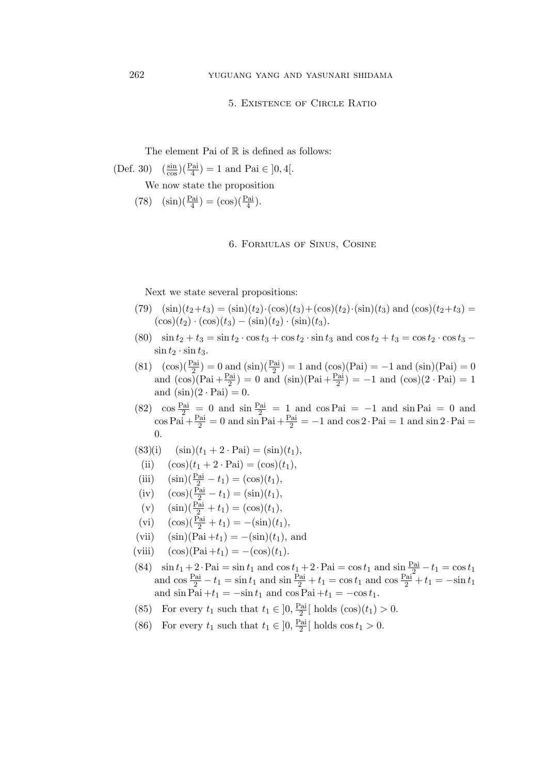## 5. Existence of Circle Ratio

The element Pai of  $\mathbb R$  is defined as follows:

(Def. 30) 
$$
\left(\frac{\sin}{\cos}\right)\left(\frac{\text{Pai}}{4}\right) = 1
$$
 and Pai  $\in$  ]0, 4[.

We now state the proposition

(78)  $(\sin)(\frac{\text{Pai}}{4}) = (\cos)(\frac{\text{Pai}}{4}).$ 

6. Formulas of Sinus, Cosine

Next we state several propositions:

- (79)  $(\sin)(t_2+t_3) = (\sin)(t_2)\cdot(\cos)(t_3) + (\cos)(t_2)\cdot(\sin)(t_3)$  and  $(\cos)(t_2+t_3) =$  $(\cos)(t_2) \cdot (\cos)(t_3) - (\sin)(t_2) \cdot (\sin)(t_3).$
- (80)  $\sin t_2 + t_3 = \sin t_2 \cdot \cos t_3 + \cos t_2 \cdot \sin t_3$  and  $\cos t_2 + t_3 = \cos t_2 \cdot \cos t_3$   $\sin t_2 \cdot \sin t_3$ .
- (81)  $(\cos)(\frac{\text{Pai}}{2}) = 0$  and  $(\sin)(\frac{\text{Pai}}{2}) = 1$  and  $(\cos)(\text{Pai}) = -1$  and  $(\sin)(\text{Pai}) = 0$ and  $(\cos)(\text{Pai} + \frac{\text{Pai}}{2})$  $\binom{2\text{ai}}{2}$  = 0 and  $(\sin)(\text{Pai} + \frac{\text{Pai}}{2})$  $\binom{2a}{2}$  = −1 and  $(\cos)(2 \cdot \text{Pai}) = 1$ and  $(\sin)(2 \cdot \text{Pai}) = 0$ .
- (82)  $\cos \frac{\text{Pai}}{2} = 0$  and  $\sin \frac{\text{Pai}}{2} = 1$  and  $\cos \text{Pai} = -1$  and  $\sin \text{Pai} = 0$  and  $\cos \mathrm{Pai} + \frac{\mathrm{Pai}}{2} = 0$  and  $\sin \mathrm{Pai} + \frac{\mathrm{Pai}}{2} = -1$  and  $\cos 2 \cdot \mathrm{Pai} = 1$  and  $\sin 2 \cdot \mathrm{Pai} =$ 0.

$$
(83)(i) \quad (\sin)(t_1 + 2 \cdot \text{Pai}) = (\sin)(t_1),
$$

- (ii)  $(\cos)(t_1 + 2 \cdot \text{Pai}) = (\cos)(t_1),$
- (iii)  $(\sin)(\frac{\text{Pai}}{2} t_1) = (\cos)(t_1),$
- (iv)  $(\cos)(\frac{\text{Pai}}{2} t_1) = (\sin)(t_1),$
- (v)  $(\sin)(\frac{\text{Pai}}{2} + t_1) = (\cos)(t_1),$
- (vi)  $(\cos)(\frac{\text{Pai}}{2} + t_1) = -(\sin)(t_1),$
- (vii)  $(\sin)(\text{Pai} + t_1) = -(\sin)(t_1)$ , and
- (viii)  $(cos)(Pai + t_1) = -(cos)(t_1).$
- (84)  $\sin t_1 + 2 \cdot \text{Pai} = \sin t_1 \text{ and } \cos t_1 + 2 \cdot \text{Pai} = \cos t_1 \text{ and } \sin \frac{\text{Pai}}{2} t_1 = \cos t_1$ and  $\cos \frac{Pa_i}{2} - t_1 = \sin t_1$  and  $\sin \frac{Pa_i}{2} + t_1 = \cos t_1$  and  $\cos \frac{Pa_i}{2} + t_1 = -\sin t_1$ and  $\sin \overline{Pa}$  +t<sub>1</sub> =  $-\sin t_1$  and  $\cos \overline{Pa}$  +t<sub>1</sub> =  $-\cos t_1$ .
- (85) For every  $t_1$  such that  $t_1 \in ]0, \frac{\text{Pai}}{2}$  $\frac{2a}{2}$ [ holds  $(\cos)(t_1) > 0$ .
- (86) For every  $t_1$  such that  $t_1 \in ]0, \frac{\text{Pai}}{2}$  $\frac{2a}{2}$ [ holds cos  $t_1 > 0$ .